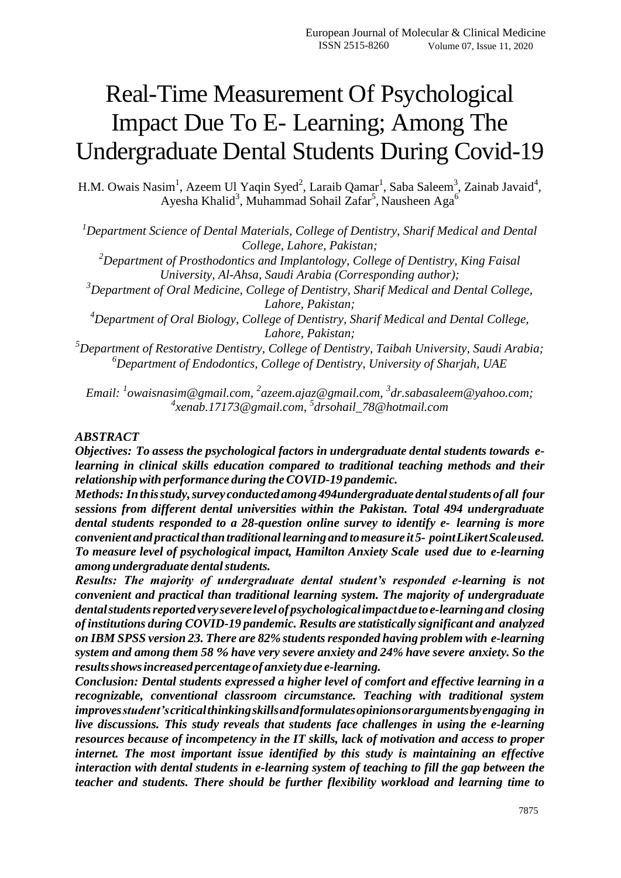# Real-Time Measurement Of Psychological Impact Due To E- Learning; Among The Undergraduate Dental Students During Covid-19

H.M. Owais Nasim<sup>1</sup>, Azeem Ul Yaqin Syed<sup>2</sup>, Laraib Qamar<sup>1</sup>, Saba Saleem<sup>3</sup>, Zainab Javaid<sup>4</sup>, Ayesha Khalid<sup>3</sup>, Muhammad Sohail Zafar<sup>5</sup>, Nausheen Aga<sup>6</sup>

*<sup>1</sup>Department Science of Dental Materials, College of Dentistry, Sharif Medical and Dental College, Lahore, Pakistan;*

*<sup>2</sup>Department of Prosthodontics and Implantology, College of Dentistry, King Faisal University, Al-Ahsa, Saudi Arabia (Corresponding author);*

*<sup>3</sup>Department of Oral Medicine, College of Dentistry, Sharif Medical and Dental College, Lahore, Pakistan;*

*<sup>4</sup>Department of Oral Biology, College of Dentistry, Sharif Medical and Dental College, Lahore, Pakistan;*

*<sup>5</sup>Department of Restorative Dentistry, College of Dentistry, Taibah University, Saudi Arabia; <sup>6</sup>Department of Endodontics, College of Dentistry, University of Sharjah, UAE*

*Email: <sup>1</sup> [owaisnasim@gmail.com,](mailto:1owaisnasim@gmail.com) 2 [azeem.ajaz@gmail.com,](mailto:azeem.ajaz@gmail.com) 3 [dr.sabasaleem@yahoo.com;](mailto:dr.sabasaleem@yahoo.com;)  4 [xenab.17173@gmail.com,](mailto:xenab.17173@gmail.com) 5 [drsohail\\_78@hotmail.com](mailto:drsohail_78@hotmail.com)*

### *ABSTRACT*

*Objectives: To assess the psychological factors in undergraduate dental students towards elearning in clinical skills education compared to traditional teaching methods and their relationshipwith performance during theCOVID-19 pandemic.*

*Methods: Inthisstudy,survey conducted among 494undergraduate dentalstudentsof all four sessions from different dental universities within the Pakistan. Total 494 undergraduate dental students responded to a 28-question online survey to identify e- learning is more convenient and practicalthantraditional learning and tomeasure it 5- pointLikertScaleused. To measure level of psychological impact, Hamilton Anxiety Scale used due to e-learning among undergraduate dentalstudents.*

*Results: The majority of undergraduate dental student's responded e-learning is not convenient and practical than traditional learning system. The majority of undergraduate dentalstudentsreportedveryseverelevelof psychologicalimpactduetoe-learningand closing of institutions during COVID-19 pandemic. Results are statistically significant and analyzed on IBM SPSS version 23. There are 82% studentsresponded having problem with e-learning system and among them 58 % have very severe anxiety and 24% have severe anxiety. So the resultsshowsincreased percentageof anxietydue e-learning.*

*Conclusion: Dental students expressed a higher level of comfort and effective learning in a recognizable, conventional classroom circumstance. Teaching with traditional system improvesstudent'scriticalthinkingskillsandformulatesopinionsorargumentsbyengaging in live discussions. This study reveals that students face challenges in using the e-learning resources because of incompetency in the IT skills, lack of motivation and access to proper internet. The most important issue identified by this study is maintaining an effective interaction with dental students in e-learning system of teaching to fill the gap between the teacher and students. There should be further flexibility workload and learning time to*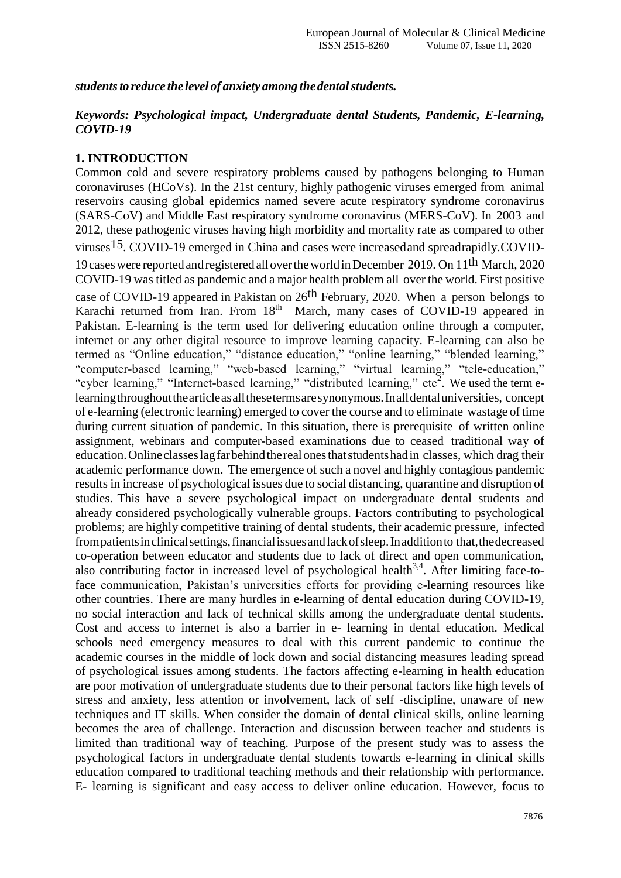*studentsto reduce the level of anxiety among thedentalstudents.*

# *Keywords: Psychological impact, Undergraduate dental Students, Pandemic, E-learning, COVID-19*

## **1. INTRODUCTION**

Common cold and severe respiratory problems caused by pathogens belonging to Human coronaviruses (HCoVs). In the 21st century, highly pathogenic viruses emerged from animal reservoirs causing global epidemics named severe acute respiratory syndrome coronavirus (SARS-CoV) and Middle East respiratory syndrome coronavirus (MERS-CoV). In 2003 and 2012, these pathogenic viruses having high morbidity and mortality rate as compared to other viruses15. COVID-19 emerged in China and cases were increasedand spreadrapidly.COVID-19 cases were reported and registered all over the world in December 2019. On 11<sup>th</sup> March, 2020 COVID-19 was titled as pandemic and a major health problem all over the world. First positive case of COVID-19 appeared in Pakistan on 26th February, 2020. When a person belongs to Karachi returned from Iran. From 18<sup>th</sup> March, many cases of COVID-19 appeared in Pakistan. E-learning is the term used for delivering education online through a computer, internet or any other digital resource to improve learning capacity. E-learning can also be termed as "Online education," "distance education," "online learning," "blended learning," "computer-based learning," "web-based learning," "virtual learning," "tele-education," "cyber learning," "Internet-based learning," "distributed learning," etc<sup>2</sup>. We used the term elearningthroughoutthearticleasallthesetermsaresynonymous.Inalldentaluniversities, concept of e-learning (electronic learning) emerged to cover the course and to eliminate wastage oftime during current situation of pandemic. In this situation, there is prerequisite of written online assignment, webinars and computer-based examinations due to ceased traditional way of education.Onlineclasseslagfarbehindtherealonesthatstudentshadin classes, which drag their academic performance down. The emergence of such a novel and highly contagious pandemic results in increase of psychological issues due to social distancing, quarantine and disruption of studies. This have a severe psychological impact on undergraduate dental students and already considered psychologically vulnerable groups. Factors contributing to psychological problems; are highly competitive training of dental students, their academic pressure, infected frompatientsinclinicalsettings,financialissuesandlackofsleep.Inadditionto that,thedecreased co-operation between educator and students due to lack of direct and open communication, also contributing factor in increased level of psychological health<sup>3,4</sup>. After limiting face-toface communication, Pakistan's universities efforts for providing e-learning resources like other countries. There are many hurdles in e-learning of dental education during COVID-19, no social interaction and lack of technical skills among the undergraduate dental students. Cost and access to internet is also a barrier in e- learning in dental education. Medical schools need emergency measures to deal with this current pandemic to continue the academic courses in the middle of lock down and social distancing measures leading spread of psychological issues among students. The factors affecting e-learning in health education are poor motivation of undergraduate students due to their personal factors like high levels of stress and anxiety, less attention or involvement, lack of self -discipline, unaware of new techniques and IT skills. When consider the domain of dental clinical skills, online learning becomes the area of challenge. Interaction and discussion between teacher and students is limited than traditional way of teaching. Purpose of the present study was to assess the psychological factors in undergraduate dental students towards e-learning in clinical skills education compared to traditional teaching methods and their relationship with performance. E- learning is significant and easy access to deliver online education. However, focus to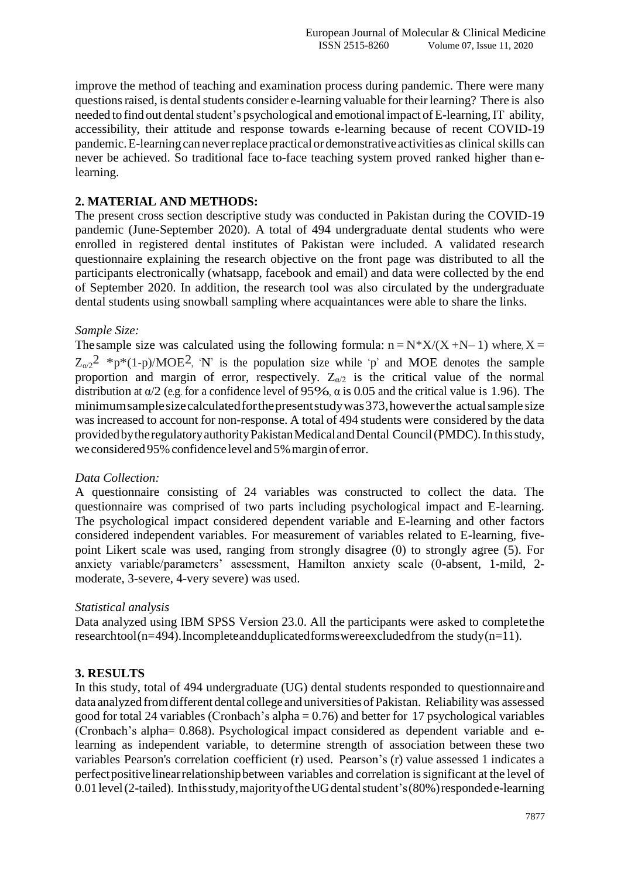improve the method of teaching and examination process during pandemic. There were many questions raised, is dental students consider e-learning valuable for their learning? There is also needed to find out dental student's psychological and emotional impact of E-learning, IT ability, accessibility, their attitude and response towards e-learning because of recent COVID-19 pandemic. E-learning can never replace practical or demonstrative activities as clinical skills can never be achieved. So traditional face to-face teaching system proved ranked higher than elearning.

## **2. MATERIAL AND METHODS:**

The present cross section descriptive study was conducted in Pakistan during the COVID-19 pandemic (June-September 2020). A total of 494 undergraduate dental students who were enrolled in registered dental institutes of Pakistan were included. A validated research questionnaire explaining the research objective on the front page was distributed to all the participants electronically (whatsapp, facebook and email) and data were collected by the end of September 2020. In addition, the research tool was also circulated by the undergraduate dental students using snowball sampling where acquaintances were able to share the links.

## *Sample Size:*

The sample size was calculated using the following formula:  $n = N^*X/(X+N-1)$  where,  $X =$  $Z_{\alpha/2}^2$  \*p\*(1-p)/MOE<sup>2</sup>, 'N' is the population size while 'p' and MOE denotes the sample proportion and margin of error, respectively.  $Z_{\alpha/2}$  is the critical value of the normal distribution at  $\alpha/2$  (e.g. for a confidence level of 95%,  $\alpha$  is 0.05 and the critical value is 1.96). The minimum sample size calculated for the present study was 373, however the actual sample size was increased to account for non-response. A total of 494 students were considered by the data provided by the regulatory authority Pakistan Medical and Dental Council (PMDC). In this study, we considered 95% confidence level and 5% margin of error.

## *Data Collection:*

A questionnaire consisting of 24 variables was constructed to collect the data. The questionnaire was comprised of two parts including psychological impact and E-learning. The psychological impact considered dependent variable and E-learning and other factors considered independent variables. For measurement of variables related to E-learning, fivepoint Likert scale was used, ranging from strongly disagree (0) to strongly agree (5). For anxiety variable/parameters" assessment, Hamilton anxiety scale (0-absent, 1-mild, 2 moderate, 3-severe, 4-very severe) was used.

#### *Statistical analysis*

Data analyzed using IBM SPSS Version 23.0. All the participants were asked to completethe researchtool(n=494).Incompleteandduplicatedformswereexcludedfrom the study(n=11).

## **3. RESULTS**

In this study, total of 494 undergraduate (UG) dental students responded to questionnaireand data analyzed fromdifferent dental college and universities ofPakistan. Reliability was assessed good for total 24 variables (Cronbach's alpha  $= 0.76$ ) and better for 17 psychological variables (Cronbach"s alpha= 0.868). Psychological impact considered as dependent variable and elearning as independent variable, to determine strength of association between these two variables Pearson's correlation coefficient (r) used. Pearson"s (r) value assessed 1 indicates a perfectpositivelinearrelationshipbetween variables and correlation issignificant at the level of 0.01 level (2-tailed). In this study, majority of the UG dental student's (80%) responded e-learning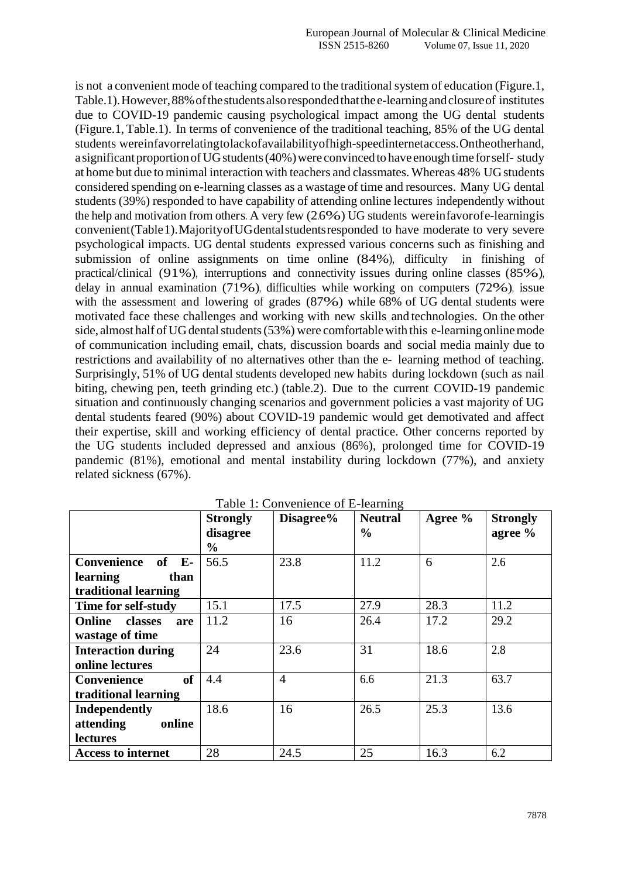is not a convenient mode of teaching compared to the traditional system of education (Figure.1, Table.1).However,88%ofthestudentsalsorespondedthatthee-learningandclosureof institutes due to COVID-19 pandemic causing psychological impact among the UG dental students (Figure.1, Table.1). In terms of convenience of the traditional teaching, 85% of the UG dental students wereinfavorrelatingtolackofavailabilityofhigh-speedinternetaccess.Ontheotherhand, a significant proportion of UG students (40%) were convinced to have enough time for self-study at home but due to minimal interaction with teachers and classmates. Whereas 48% UG students considered spending on e-learning classes as a wastage of time and resources. Many UG dental students (39%) responded to have capability of attending online lectures independently without the help and motivation from others. A very few (2.6%) UG students wereinfavorofe-learningis convenient(Table1).MajorityofUGdentalstudentsresponded to have moderate to very severe psychological impacts. UG dental students expressed various concerns such as finishing and submission of online assignments on time online (84%), difficulty in finishing of practical/clinical (91%), interruptions and connectivity issues during online classes (85%), delay in annual examination (71%), difficulties while working on computers (72%), issue with the assessment and lowering of grades (87%) while 68% of UG dental students were motivated face these challenges and working with new skills and technologies. On the other side, almost half of UG dental students (53%) were comfortable with this e-learning online mode of communication including email, chats, discussion boards and social media mainly due to restrictions and availability of no alternatives other than the e- learning method of teaching. Surprisingly, 51% of UG dental students developed new habits during lockdown (such as nail biting, chewing pen, teeth grinding etc.) (table.2). Due to the current COVID-19 pandemic situation and continuously changing scenarios and government policies a vast majority of UG dental students feared (90%) about COVID-19 pandemic would get demotivated and affect their expertise, skill and working efficiency of dental practice. Other concerns reported by the UG students included depressed and anxious (86%), prolonged time for COVID-19 pandemic (81%), emotional and mental instability during lockdown (77%), and anxiety related sickness (67%).

|                                 | <b>Strongly</b> | Disagree%      | <b>Neutral</b> | Agree % | <b>Strongly</b> |
|---------------------------------|-----------------|----------------|----------------|---------|-----------------|
|                                 | disagree        |                | $\frac{6}{9}$  |         | agree %         |
|                                 | $\frac{0}{0}$   |                |                |         |                 |
| <b>Convenience</b><br>$of$ E-   | 56.5            | 23.8           | 11.2           | 6       | 2.6             |
| than<br>learning                |                 |                |                |         |                 |
| traditional learning            |                 |                |                |         |                 |
| Time for self-study             | 15.1            | 17.5           | 27.9           | 28.3    | 11.2            |
| <b>Online</b><br>classes<br>are | 11.2            | 16             | 26.4           | 17.2    | 29.2            |
| wastage of time                 |                 |                |                |         |                 |
| <b>Interaction during</b>       | 24              | 23.6           | 31             | 18.6    | 2.8             |
| online lectures                 |                 |                |                |         |                 |
| <b>of</b><br><b>Convenience</b> | 4.4             | $\overline{4}$ | 6.6            | 21.3    | 63.7            |
| traditional learning            |                 |                |                |         |                 |
| Independently                   | 18.6            | 16             | 26.5           | 25.3    | 13.6            |
| attending<br>online             |                 |                |                |         |                 |
| <b>lectures</b>                 |                 |                |                |         |                 |
| <b>Access to internet</b>       | 28              | 24.5           | 25             | 16.3    | 6.2             |

Table 1: Convenience of E-learning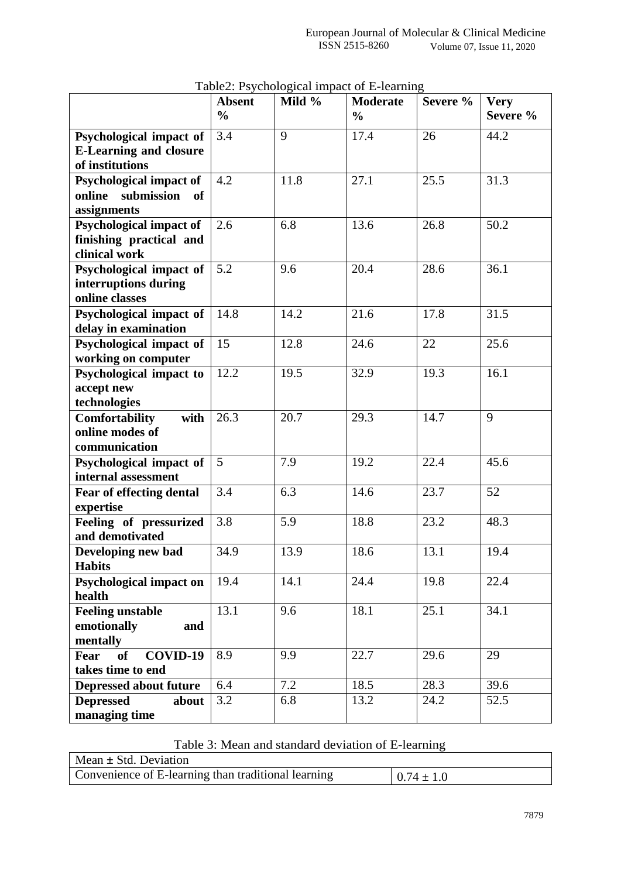|                                                    | <b>Absent</b> | Mild % | <b>Moderate</b> | Severe % | <b>Very</b> |
|----------------------------------------------------|---------------|--------|-----------------|----------|-------------|
|                                                    | $\frac{0}{0}$ |        | $\frac{6}{6}$   |          | Severe %    |
| Psychological impact of                            | 3.4           | 9      | 17.4            | 26       | 44.2        |
| <b>E-Learning and closure</b>                      |               |        |                 |          |             |
| of institutions                                    |               |        |                 |          |             |
| Psychological impact of                            | 4.2           | 11.8   | 27.1            | 25.5     | 31.3        |
| online<br>submission<br><b>of</b>                  |               |        |                 |          |             |
| assignments                                        | 2.6           | 6.8    | 13.6            | 26.8     | 50.2        |
| Psychological impact of<br>finishing practical and |               |        |                 |          |             |
| clinical work                                      |               |        |                 |          |             |
| Psychological impact of                            | 5.2           | 9.6    | 20.4            | 28.6     | 36.1        |
| interruptions during                               |               |        |                 |          |             |
| online classes                                     |               |        |                 |          |             |
| Psychological impact of                            | 14.8          | 14.2   | 21.6            | 17.8     | 31.5        |
| delay in examination                               |               |        |                 |          |             |
| Psychological impact of                            | 15            | 12.8   | 24.6            | 22       | 25.6        |
| working on computer                                |               |        |                 |          |             |
| Psychological impact to                            | 12.2          | 19.5   | 32.9            | 19.3     | 16.1        |
| accept new                                         |               |        |                 |          |             |
| technologies                                       |               |        |                 |          |             |
| <b>Comfortability</b><br>with                      | 26.3          | 20.7   | 29.3            | 14.7     | 9           |
| online modes of                                    |               |        |                 |          |             |
| communication                                      |               |        |                 |          |             |
| Psychological impact of                            | 5             | 7.9    | 19.2            | 22.4     | 45.6        |
| internal assessment                                |               |        |                 |          |             |
| Fear of effecting dental                           | 3.4           | 6.3    | 14.6            | 23.7     | 52          |
| expertise                                          | 3.8           | 5.9    | 18.8            | 23.2     | 48.3        |
| Feeling of pressurized<br>and demotivated          |               |        |                 |          |             |
| Developing new bad                                 | 34.9          | 13.9   | 18.6            | 13.1     | 19.4        |
| <b>Habits</b>                                      |               |        |                 |          |             |
| <b>Psychological impact on</b>                     | 19.4          | 14.1   | 24.4            | 19.8     | 22.4        |
| health                                             |               |        |                 |          |             |
| <b>Feeling unstable</b>                            | 13.1          | 9.6    | 18.1            | 25.1     | 34.1        |
| emotionally<br>and                                 |               |        |                 |          |             |
| mentally                                           |               |        |                 |          |             |
| COVID-19<br><b>of</b><br>Fear                      | 8.9           | 9.9    | 22.7            | 29.6     | 29          |
| takes time to end                                  |               |        |                 |          |             |
| <b>Depressed about future</b>                      | 6.4           | 7.2    | 18.5            | 28.3     | 39.6        |
| <b>Depressed</b><br>about                          | 3.2           | 6.8    | 13.2            | 24.2     | 52.5        |
| managing time                                      |               |        |                 |          |             |

Table2: Psychological impact of E-learning

Table 3: Mean and standard deviation of E-learning

 $\mathbf{r}$ 

| $\vert$ Mean $\pm$ Std. Deviation                   |                |
|-----------------------------------------------------|----------------|
| Convenience of E-learning than traditional learning | $0.74 \pm 1.0$ |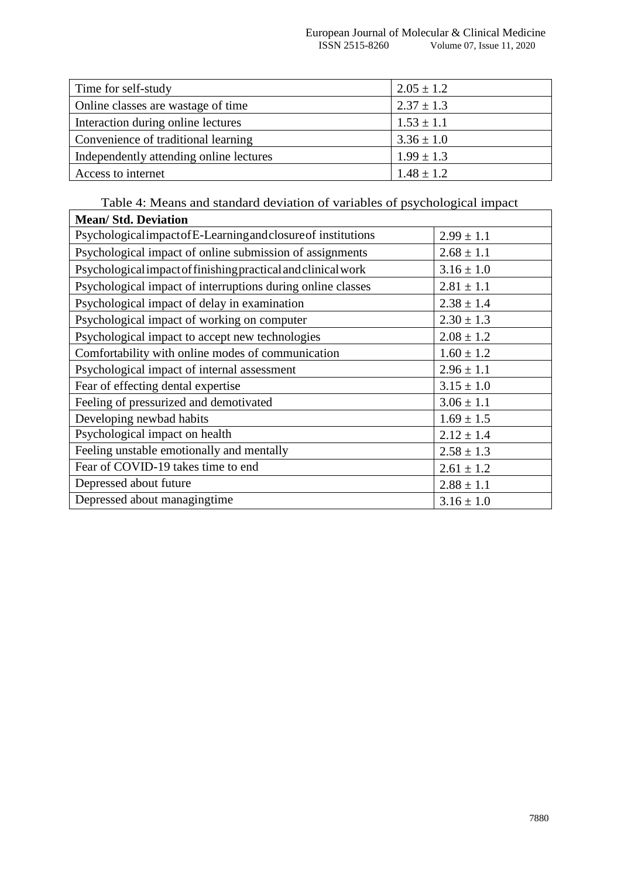| Time for self-study                     | $2.05 \pm 1.2$ |
|-----------------------------------------|----------------|
| Online classes are wastage of time      | $2.37 \pm 1.3$ |
| Interaction during online lectures      | $1.53 \pm 1.1$ |
| Convenience of traditional learning     | $3.36 \pm 1.0$ |
| Independently attending online lectures | $1.99 \pm 1.3$ |
| Access to internet                      | $1.48 \pm 1.2$ |

Table 4: Means and standard deviation of variables of psychological impact

 $\mathbf{r}$ 

| <b>Mean/Std. Deviation</b>                                     |                |
|----------------------------------------------------------------|----------------|
| Psychological impact of E-Learning and closure of institutions | $2.99 \pm 1.1$ |
| Psychological impact of online submission of assignments       | $2.68 \pm 1.1$ |
| Psychological impact of finishing practical and clinical work  | $3.16 \pm 1.0$ |
| Psychological impact of interruptions during online classes    | $2.81 \pm 1.1$ |
| Psychological impact of delay in examination                   | $2.38 \pm 1.4$ |
| Psychological impact of working on computer                    | $2.30 \pm 1.3$ |
| Psychological impact to accept new technologies                | $2.08 \pm 1.2$ |
| Comfortability with online modes of communication              | $1.60 \pm 1.2$ |
| Psychological impact of internal assessment                    | $2.96 \pm 1.1$ |
| Fear of effecting dental expertise                             | $3.15 \pm 1.0$ |
| Feeling of pressurized and demotivated                         | $3.06 \pm 1.1$ |
| Developing newbad habits                                       | $1.69 \pm 1.5$ |
| Psychological impact on health                                 | $2.12 \pm 1.4$ |
| Feeling unstable emotionally and mentally                      | $2.58 \pm 1.3$ |
| Fear of COVID-19 takes time to end                             | $2.61 \pm 1.2$ |
| Depressed about future                                         | $2.88 \pm 1.1$ |
| Depressed about managingtime                                   | $3.16 \pm 1.0$ |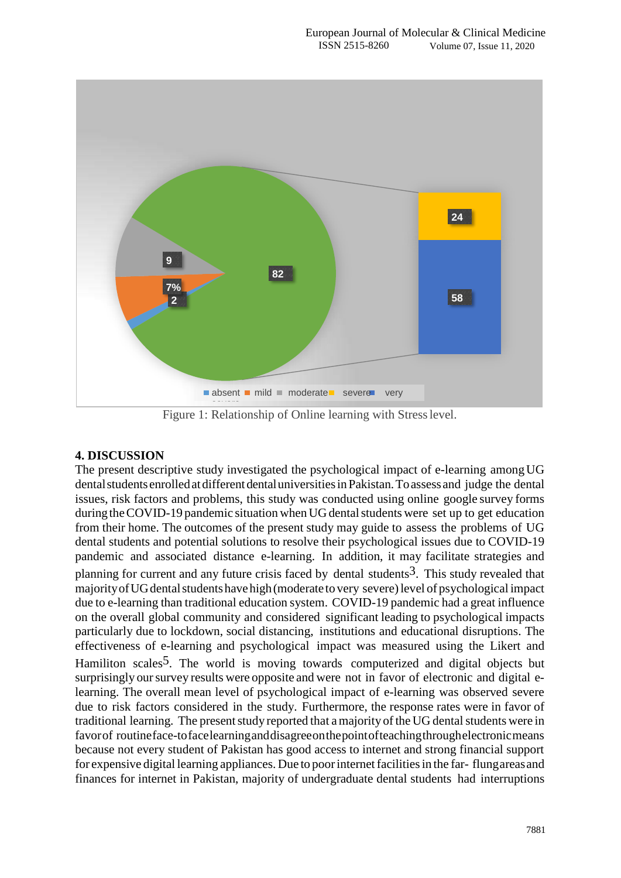

Figure 1: Relationship of Online learning with Stresslevel.

# **4. DISCUSSION**

The present descriptive study investigated the psychological impact of e-learning amongUG dental students enrolled at different dental universities in Pakistan. To assess and judge the dental issues, risk factors and problems, this study was conducted using online google survey forms during the COVID-19 pandemic situation when UG dental students were set up to get education from their home. The outcomes of the present study may guide to assess the problems of UG dental students and potential solutions to resolve their psychological issues due to COVID-19 pandemic and associated distance e-learning. In addition, it may facilitate strategies and planning for current and any future crisis faced by dental students<sup>3</sup>. This study revealed that majorityofUGdentalstudentshavehigh(moderate to very severe)level of psychological impact due to e-learning than traditional education system. COVID-19 pandemic had a great influence on the overall global community and considered significant leading to psychological impacts particularly due to lockdown, social distancing, institutions and educational disruptions. The effectiveness of e-learning and psychological impact was measured using the Likert and Hamiliton scales<sup>5</sup>. The world is moving towards computerized and digital objects but surprisingly our survey results were opposite and were not in favor of electronic and digital elearning. The overall mean level of psychological impact of e-learning was observed severe due to risk factors considered in the study. Furthermore, the response rates were in favor of traditional learning. The present study reported that a majority of the UG dental students were in favorof routineface-tofacelearninganddisagreeonthepointofteachingthroughelectronicmeans because not every student of Pakistan has good access to internet and strong financial support for expensive digital learning appliances. Due to poorinternetfacilitiesin the far- flungareasand finances for internet in Pakistan, majority of undergraduate dental students had interruptions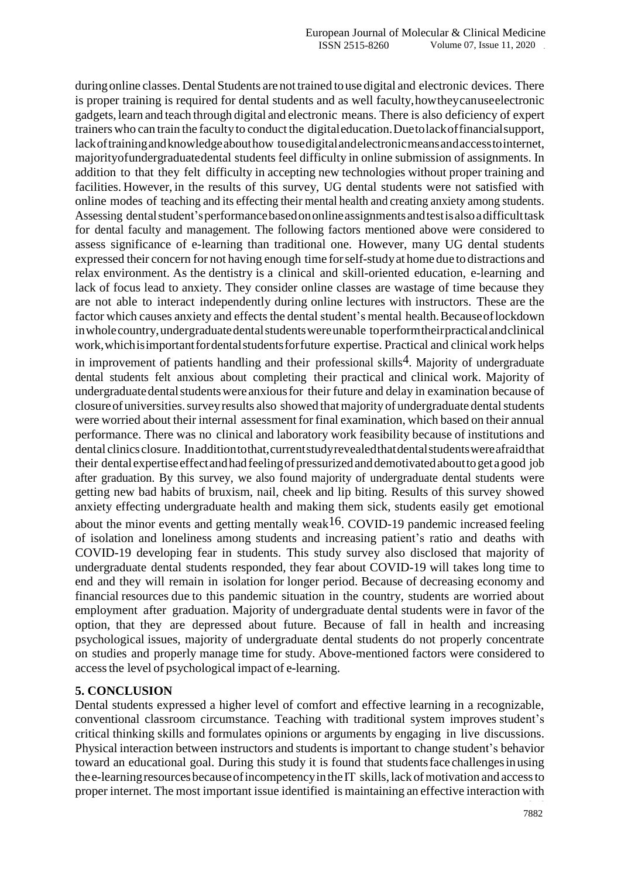duringonline classes. Dental Students are not trained to use digital and electronic devices. There is proper training is required for dental students and as well faculty,howtheycanuseelectronic gadgets, learn and teach through digital and electronic means. There is also deficiency of expert trainers who can train the facultyto conduct the digitaleducation.Duetolackoffinancialsupport, lackoftrainingandknowledgeabouthow tousedigitalandelectronicmeansandaccesstointernet, majorityofundergraduatedental students feel difficulty in online submission of assignments. In addition to that they felt difficulty in accepting new technologies without proper training and facilities. However, in the results of this survey, UG dental students were not satisfied with online modes of teaching and its effecting their mental health and creating anxiety among students. Assessing dentalstudent"sperformancebasedononlineassignments andtestisalsoadifficulttask for dental faculty and management. The following factors mentioned above were considered to assess significance of e-learning than traditional one. However, many UG dental students expressed their concern for not having enough time forself-studyat home due to distractions and relax environment. As the dentistry is a clinical and skill-oriented education, e-learning and lack of focus lead to anxiety. They consider online classes are wastage of time because they are not able to interact independently during online lectures with instructors. These are the factor which causes anxiety and effects the dental student's mental health. Because of lockdown in whole country, undergraduate dental students were unable to perform their practical and clinical work,whichisimportantfordentalstudentsforfuture expertise. Practical and clinical work helps in improvement of patients handling and their professional skills<sup>4</sup>. Majority of undergraduate dental students felt anxious about completing their practical and clinical work. Majority of undergraduate dental students were anxious for their future and delay in examination because of closureofuniversities.surveyresults also showed thatmajority of undergraduate dentalstudents were worried about their internal assessment for final examination, which based on their annual performance. There was no clinical and laboratory work feasibility because of institutions and dental clinicsclosure. Inadditiontothat,currentstudyrevealedthatdentalstudentswereafraidthat their dentalexpertiseeffectandhadfeelingofpressurizedanddemotivatedabouttogetagood job after graduation. By this survey, we also found majority of undergraduate dental students were getting new bad habits of bruxism, nail, cheek and lip biting. Results of this survey showed anxiety effecting undergraduate health and making them sick, students easily get emotional about the minor events and getting mentally weak<sup>16</sup>. COVID-19 pandemic increased feeling of isolation and loneliness among students and increasing patient"s ratio and deaths with COVID-19 developing fear in students. This study survey also disclosed that majority of undergraduate dental students responded, they fear about COVID-19 will takes long time to end and they will remain in isolation for longer period. Because of decreasing economy and financial resources due to this pandemic situation in the country, students are worried about employment after graduation. Majority of undergraduate dental students were in favor of the option, that they are depressed about future. Because of fall in health and increasing psychological issues, majority of undergraduate dental students do not properly concentrate on studies and properly manage time for study. Above-mentioned factors were considered to accessthe level of psychological impact of e-learning.

## **5. CONCLUSION**

Dental students expressed a higher level of comfort and effective learning in a recognizable, conventional classroom circumstance. Teaching with traditional system improves student"s critical thinking skills and formulates opinions or arguments by engaging in live discussions. Physical interaction between instructors and students is important to change student's behavior toward an educational goal. During this study it is found that studentsface challengesinusing the e-learning resources because of incompetency in the IT skills, lack of motivation and access to proper internet. The most important issue identified is maintaining an effective interaction with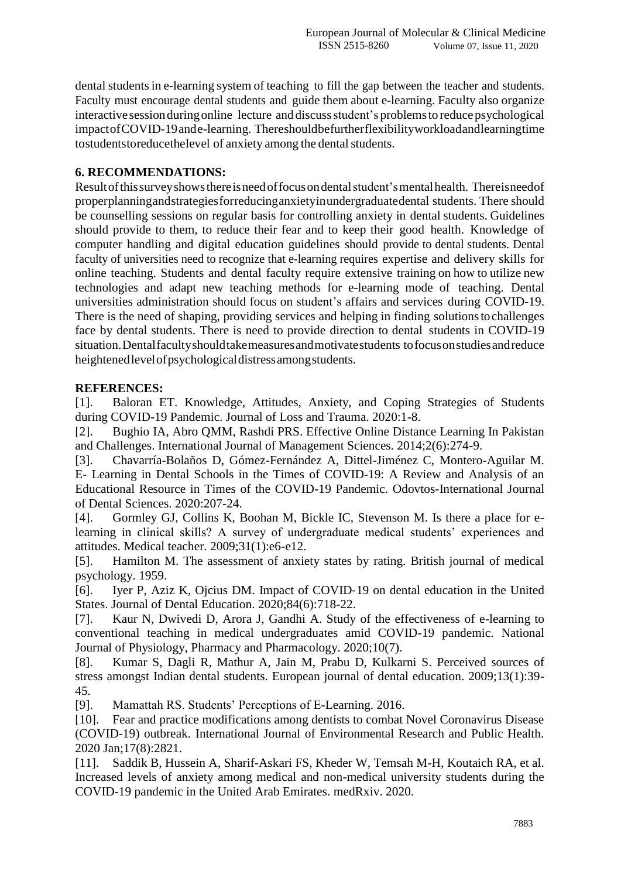dental students in e-learning system of teaching to fill the gap between the teacher and students. Faculty must encourage dental students and guide them about e-learning. Faculty also organize interactive session during online lecture and discuss student's problems to reduce psychological impactofCOVID-19ande-learning. Thereshouldbefurtherflexibilityworkloadandlearningtime tostudentstoreducethelevel of anxiety among the dental students.

# **6. RECOMMENDATIONS:**

Resultofthissurveyshowsthereisneedoffocusondentalstudent"smentalhealth. Thereisneedof properplanningandstrategiesforreducinganxietyinundergraduatedental students. There should be counselling sessions on regular basis for controlling anxiety in dental students. Guidelines should provide to them, to reduce their fear and to keep their good health. Knowledge of computer handling and digital education guidelines should provide to dental students. Dental faculty of universities need to recognize that e-learning requires expertise and delivery skills for online teaching. Students and dental faculty require extensive training on how to utilize new technologies and adapt new teaching methods for e-learning mode of teaching. Dental universities administration should focus on student"s affairs and services during COVID-19. There is the need of shaping, providing services and helping in finding solutionstochallenges face by dental students. There is need to provide direction to dental students in COVID-19 situation.Dentalfacultyshouldtakemeasuresandmotivatestudents tofocusonstudiesandreduce heightenedlevelofpsychologicaldistressamongstudents.

# **REFERENCES:**

[1]. Baloran ET. Knowledge, Attitudes, Anxiety, and Coping Strategies of Students during COVID-19 Pandemic. Journal of Loss and Trauma. 2020:1-8.

[2]. Bughio IA, Abro QMM, Rashdi PRS. Effective Online Distance Learning In Pakistan and Challenges. International Journal of Management Sciences. 2014;2(6):274-9.

[3]. Chavarría-Bolaños D, Gómez-Fernández A, Dittel-Jiménez C, Montero-Aguilar M. E- Learning in Dental Schools in the Times of COVID-19: A Review and Analysis of an Educational Resource in Times of the COVID-19 Pandemic. Odovtos-International Journal of Dental Sciences. 2020:207-24.

[4]. Gormley GJ, Collins K, Boohan M, Bickle IC, Stevenson M. Is there a place for elearning in clinical skills? A survey of undergraduate medical students' experiences and attitudes. Medical teacher. 2009;31(1):e6-e12.

[5]. Hamilton M. The assessment of anxiety states by rating. British journal of medical psychology. 1959.

[6]. Iyer P, Aziz K, Ojcius DM. Impact of COVID‐19 on dental education in the United States. Journal of Dental Education. 2020;84(6):718-22.

[7]. Kaur N, Dwivedi D, Arora J, Gandhi A. Study of the effectiveness of e-learning to conventional teaching in medical undergraduates amid COVID-19 pandemic. National Journal of Physiology, Pharmacy and Pharmacology. 2020;10(7).

[8]. Kumar S, Dagli R, Mathur A, Jain M, Prabu D, Kulkarni S. Perceived sources of stress amongst Indian dental students. European journal of dental education. 2009;13(1):39- 45.

[9]. Mamattah RS. Students' Perceptions of E-Learning. 2016.

[10]. Fear and practice modifications among dentists to combat Novel Coronavirus Disease (COVID-19) outbreak. International Journal of Environmental Research and Public Health. 2020 Jan;17(8):2821.

[11]. Saddik B, Hussein A, Sharif-Askari FS, Kheder W, Temsah M-H, Koutaich RA, et al. Increased levels of anxiety among medical and non-medical university students during the COVID-19 pandemic in the United Arab Emirates. medRxiv. 2020.